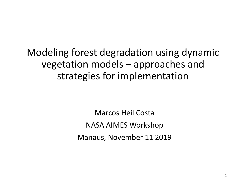#### Modeling forest degradation using dynamic vegetation models – approaches and strategies for implementation

Marcos Heil Costa NASA AIMES Workshop Manaus, November 11 2019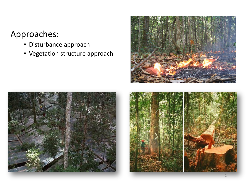#### Approaches:

- Disturbance approach
- Vegetation structure approach





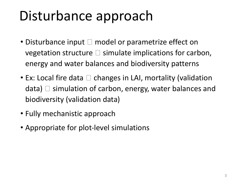## Disturbance approach

- Disturbance input  $\Box$  model or parametrize effect on vegetation structure  $\square$  simulate implications for carbon, energy and water balances and biodiversity patterns
- Ex: Local fire data  $\Box$  changes in LAI, mortality (validation data)  $\Box$  simulation of carbon, energy, water balances and biodiversity (validation data)
- Fully mechanistic approach
- Appropriate for plot-level simulations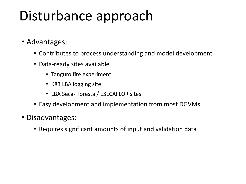# Disturbance approach

- Advantages:
	- Contributes to process understanding and model development
	- Data-ready sites available
		- Tanguro fire experiment
		- K83 LBA logging site
		- LBA Seca-Floresta / ESECAFLOR sites
	- Easy development and implementation from most DGVMs
- Disadvantages:
	- Requires significant amounts of input and validation data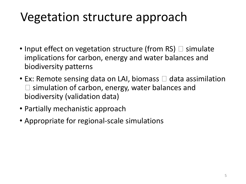### Vegetation structure approach

- Input effect on vegetation structure (from RS)  $\Box$  simulate implications for carbon, energy and water balances and biodiversity patterns
- Ex: Remote sensing data on LAI, biomass  $\Box$  data assimilation  $\square$  simulation of carbon, energy, water balances and biodiversity (validation data)
- Partially mechanistic approach
- Appropriate for regional-scale simulations